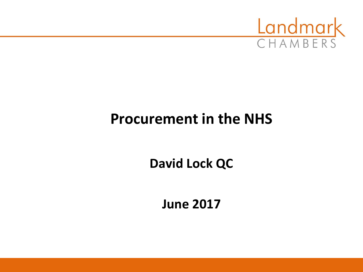

# **Procurement in the NHS**

**David Lock QC**

**June 2017**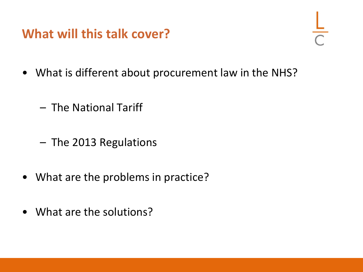#### **What will this talk cover?**

- 
- What is different about procurement law in the NHS?
	- The National Tariff
	- The 2013 Regulations
- What are the problems in practice?
- What are the solutions?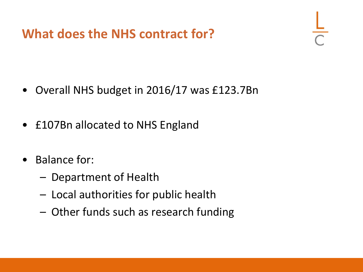**What does the NHS contract for?**

- Overall NHS budget in 2016/17 was £123.7Bn
- £107Bn allocated to NHS England
- Balance for:
	- Department of Health
	- Local authorities for public health
	- Other funds such as research funding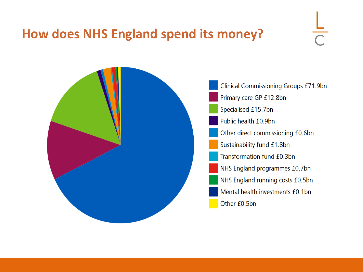#### **How does NHS England spend its money?**



**Clinical Commissioning Groups £71.9bn** Primary care GP £12.8bn Specialised £15.7bn Public health £0.9bn Other direct commissioning £0.6bn Sustainability fund £1.8bn Transformation fund £0.3bn NHS England programmes £0.7bn NHS England running costs £0.5bn Mental health investments £0.1bn Other £0.5bn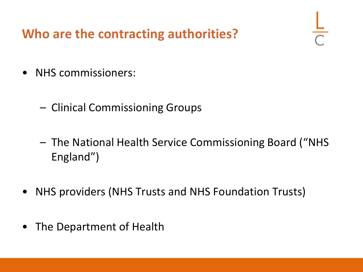# **Who are the contracting authorities?**

- NHS commissioners:
	- Clinical Commissioning Groups
	- The National Health Service Commissioning Board ("NHS England")
- NHS providers (NHS Trusts and NHS Foundation Trusts)
- The Department of Health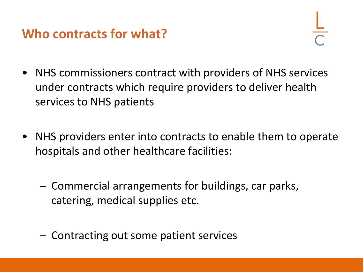#### **Who contracts for what?**

- NHS commissioners contract with providers of NHS services under contracts which require providers to deliver health services to NHS patients
- NHS providers enter into contracts to enable them to operate hospitals and other healthcare facilities:
	- Commercial arrangements for buildings, car parks, catering, medical supplies etc.
	- Contracting out some patient services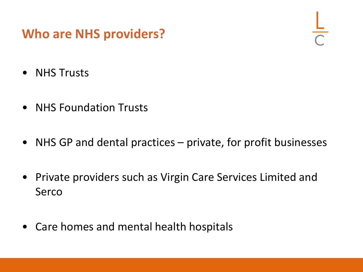### **Who are NHS providers?**

- NHS Trusts
- NHS Foundation Trusts
- NHS GP and dental practices private, for profit businesses
- Private providers such as Virgin Care Services Limited and Serco
- Care homes and mental health hospitals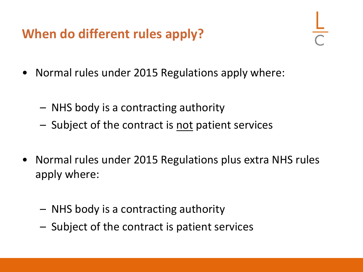# **When do different rules apply?**

- Normal rules under 2015 Regulations apply where:
	- NHS body is a contracting authority
	- Subject of the contract is not patient services
- Normal rules under 2015 Regulations plus extra NHS rules apply where:
	- NHS body is a contracting authority
	- Subject of the contract is patient services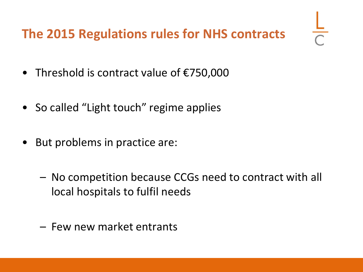# **The 2015 Regulations rules for NHS contracts**

- Threshold is contract value of €750,000
- So called "Light touch" regime applies
- But problems in practice are:
	- No competition because CCGs need to contract with all local hospitals to fulfil needs
	- Few new market entrants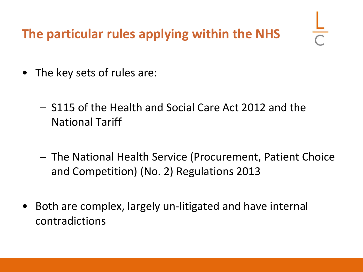**The particular rules applying within the NHS**

- The key sets of rules are:
	- S115 of the Health and Social Care Act 2012 and the National Tariff
	- The National Health Service (Procurement, Patient Choice and Competition) (No. 2) Regulations 2013
- Both are complex, largely un-litigated and have internal contradictions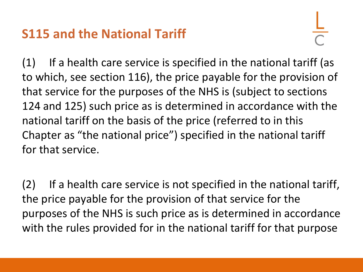# **S115 and the National Tariff**

(1) If a health care service is specified in the national tariff (as to which, see section 116), the price payable for the provision of that service for the purposes of the NHS is (subject to sections 124 and 125) such price as is determined in accordance with the national tariff on the basis of the price (referred to in this Chapter as "the national price") specified in the national tariff for that service.

(2) If a health care service is not specified in the national tariff, the price payable for the provision of that service for the purposes of the NHS is such price as is determined in accordance with the rules provided for in the national tariff for that purpose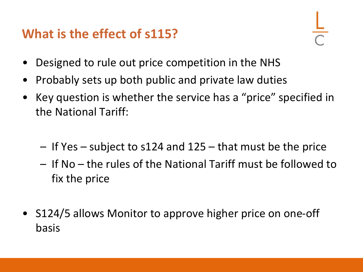# **What is the effect of s115?**

- Designed to rule out price competition in the NHS
- Probably sets up both public and private law duties
- Key question is whether the service has a "price" specified in the National Tariff:
	- If Yes subject to s124 and 125 that must be the price
	- If No the rules of the National Tariff must be followed to fix the price
- S124/5 allows Monitor to approve higher price on one-off basis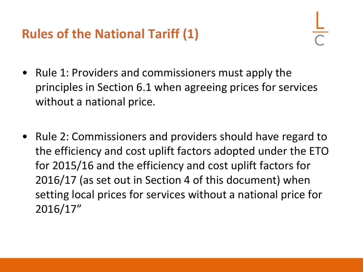# **Rules of the National Tariff (1)**

- Rule 1: Providers and commissioners must apply the principles in Section 6.1 when agreeing prices for services without a national price.
- Rule 2: Commissioners and providers should have regard to the efficiency and cost uplift factors adopted under the ETO for 2015/16 and the efficiency and cost uplift factors for 2016/17 (as set out in Section 4 of this document) when setting local prices for services without a national price for 2016/17"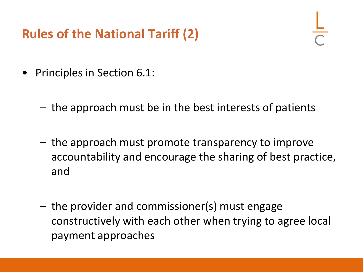# **Rules of the National Tariff (2)**

- Principles in Section 6.1:
	- the approach must be in the best interests of patients
	- the approach must promote transparency to improve accountability and encourage the sharing of best practice, and
	- the provider and commissioner(s) must engage constructively with each other when trying to agree local payment approaches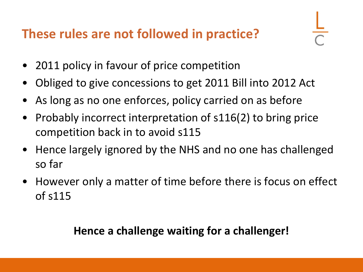# **These rules are not followed in practice?**

- 2011 policy in favour of price competition
- Obliged to give concessions to get 2011 Bill into 2012 Act
- As long as no one enforces, policy carried on as before
- Probably incorrect interpretation of s116(2) to bring price competition back in to avoid s115
- Hence largely ignored by the NHS and no one has challenged so far
- However only a matter of time before there is focus on effect of s115

#### **Hence a challenge waiting for a challenger!**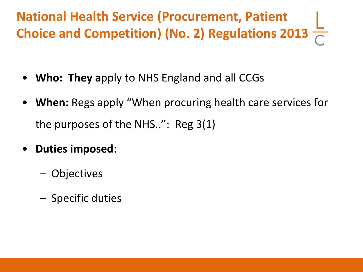**National Health Service (Procurement, Patient Choice and Competition) (No. 2) Regulations 2013**

- **Who: They a**pply to NHS England and all CCGs
- **When:** Regs apply "When procuring health care services for the purposes of the NHS..": Reg 3(1)
- **Duties imposed**:
	- Objectives
	- Specific duties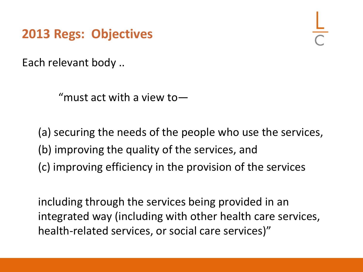**2013 Regs: Objectives**

Each relevant body ..

"must act with a view to—

(a) securing the needs of the people who use the services, (b) improving the quality of the services, and (c) improving efficiency in the provision of the services

including through the services being provided in an integrated way (including with other health care services, health-related services, or social care services)"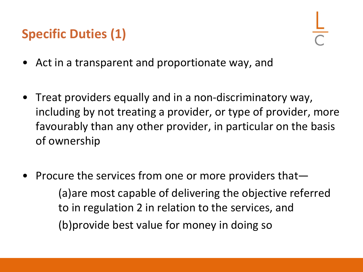# **Specific Duties (1)**

- Act in a transparent and proportionate way, and
- Treat providers equally and in a non-discriminatory way, including by not treating a provider, or type of provider, more favourably than any other provider, in particular on the basis of ownership
- Procure the services from one or more providers that— (a)are most capable of delivering the objective referred to in regulation 2 in relation to the services, and (b)provide best value for money in doing so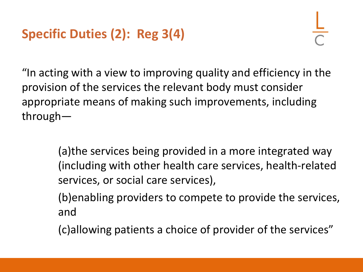"In acting with a view to improving quality and efficiency in the provision of the services the relevant body must consider appropriate means of making such improvements, including through—

> (a)the services being provided in a more integrated way (including with other health care services, health-related services, or social care services),

(b)enabling providers to compete to provide the services, and

(c)allowing patients a choice of provider of the services"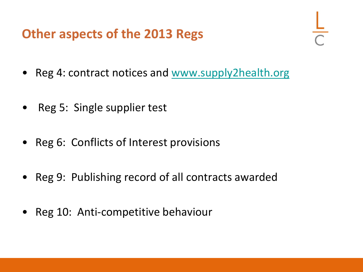# **Other aspects of the 2013 Regs**

- Reg 4: contract notices and [www.supply2health.org](http://www.supply2health.org/)
- Reg 5: Single supplier test
- Reg 6: Conflicts of Interest provisions
- Reg 9: Publishing record of all contracts awarded
- Reg 10: Anti-competitive behaviour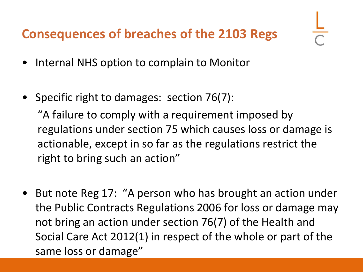# **Consequences of breaches of the 2103 Regs**

- Internal NHS option to complain to Monitor
- Specific right to damages: section 76(7):

"A failure to comply with a requirement imposed by regulations under section 75 which causes loss or damage is actionable, except in so far as the regulations restrict the right to bring such an action"

• But note Reg 17: "A person who has brought an action under the Public Contracts Regulations 2006 for loss or damage may not bring an action under section 76(7) of the Health and Social Care Act 2012(1) in respect of the whole or part of the same loss or damage"